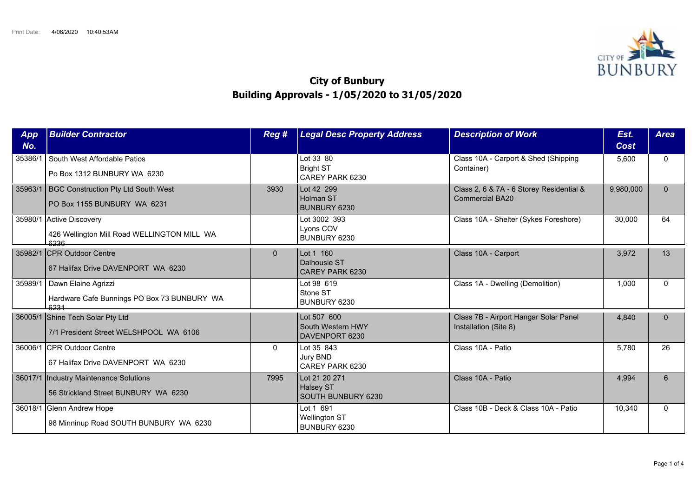

## **City of Bunbury Building Approvals - 1/05/2020 to 31/05/2020**

| <b>App</b><br>No. | <b>Builder Contractor</b>                                                       | Reg #        | <b>Legal Desc Property Address</b>                      | <b>Description of Work</b>                                         | Est.<br>Cost | <b>Area</b>  |
|-------------------|---------------------------------------------------------------------------------|--------------|---------------------------------------------------------|--------------------------------------------------------------------|--------------|--------------|
| 35386/1           | South West Affordable Patios<br>Po Box 1312 BUNBURY WA 6230                     |              | Lot 33 80<br><b>Bright ST</b><br>CAREY PARK 6230        | Class 10A - Carport & Shed (Shipping<br>Container)                 | 5,600        | $\mathbf{0}$ |
| 35963/1           | BGC Construction Pty Ltd South West<br>PO Box 1155 BUNBURY WA 6231              | 3930         | Lot 42 299<br>Holman ST<br>BUNBURY 6230                 | Class 2, 6 & 7A - 6 Storey Residential &<br><b>Commercial BA20</b> | 9,980,000    | $\Omega$     |
|                   | 35980/1 Active Discovery<br>426 Wellington Mill Road WELLINGTON MILL WA<br>6236 |              | Lot 3002 393<br>Lyons COV<br>BUNBURY 6230               | Class 10A - Shelter (Sykes Foreshore)                              | 30,000       | 64           |
|                   | 35982/1 CPR Outdoor Centre<br>67 Halifax Drive DAVENPORT WA 6230                | $\Omega$     | Lot 1 160<br>Dalhousie ST<br>CAREY PARK 6230            | Class 10A - Carport                                                | 3,972        | 13           |
| 35989/1           | Dawn Elaine Agrizzi<br>Hardware Cafe Bunnings PO Box 73 BUNBURY WA<br>6231      |              | Lot 98 619<br>Stone ST<br>BUNBURY 6230                  | Class 1A - Dwelling (Demolition)                                   | 1,000        | $\Omega$     |
|                   | 36005/1 Shine Tech Solar Pty Ltd<br>7/1 President Street WELSHPOOL WA 6106      |              | Lot 507 600<br>South Western HWY<br>DAVENPORT 6230      | Class 7B - Airport Hangar Solar Panel<br>Installation (Site 8)     | 4,840        | $\Omega$     |
|                   | 36006/1 CPR Outdoor Centre<br>67 Halifax Drive DAVENPORT WA 6230                | $\mathbf{0}$ | Lot 35 843<br>Jury BND<br>CAREY PARK 6230               | Class 10A - Patio                                                  | 5.780        | 26           |
|                   | 36017/1 Industry Maintenance Solutions<br>56 Strickland Street BUNBURY WA 6230  | 7995         | Lot 21 20 271<br><b>Halsey ST</b><br>SOUTH BUNBURY 6230 | Class 10A - Patio                                                  | 4,994        | 6            |
| 36018/1           | Glenn Andrew Hope<br>98 Minninup Road SOUTH BUNBURY WA 6230                     |              | Lot 1 691<br><b>Wellington ST</b><br>BUNBURY 6230       | Class 10B - Deck & Class 10A - Patio                               | 10,340       | $\Omega$     |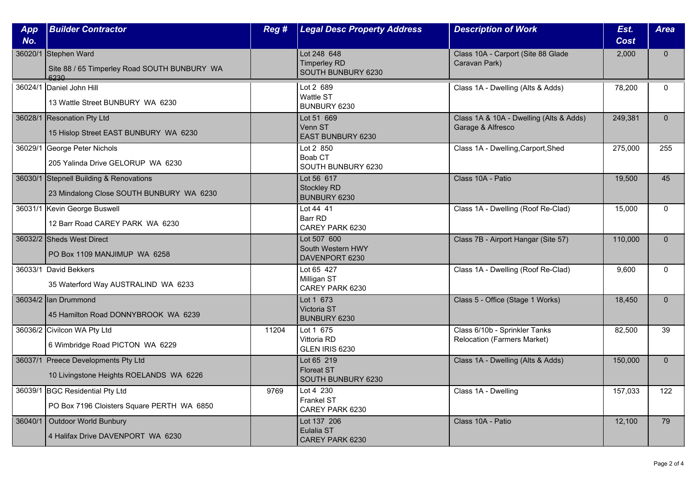| App<br>No. | <b>Builder Contractor</b>                                                           | Reg # | <b>Legal Desc Property Address</b>                       | <b>Description of Work</b>                                          | Est.<br>Cost | <b>Area</b>  |
|------------|-------------------------------------------------------------------------------------|-------|----------------------------------------------------------|---------------------------------------------------------------------|--------------|--------------|
|            | 36020/1 Stephen Ward<br>Site 88 / 65 Timperley Road SOUTH BUNBURY WA<br>6230        |       | Lot 248 648<br><b>Timperley RD</b><br>SOUTH BUNBURY 6230 | Class 10A - Carport (Site 88 Glade<br>Caravan Park)                 | 2,000        | $\mathbf{0}$ |
|            | 36024/1 Daniel John Hill<br>13 Wattle Street BUNBURY WA 6230                        |       | Lot 2 689<br>Wattle ST<br>BUNBURY 6230                   | Class 1A - Dwelling (Alts & Adds)                                   | 78,200       | $\mathbf{0}$ |
|            | 36028/1 Resonation Pty Ltd<br>15 Hislop Street EAST BUNBURY WA 6230                 |       | Lot 51 669<br>Venn ST<br><b>EAST BUNBURY 6230</b>        | Class 1A & 10A - Dwelling (Alts & Adds)<br>Garage & Alfresco        | 249,381      | $\mathbf{0}$ |
|            | 36029/1 George Peter Nichols<br>205 Yalinda Drive GELORUP WA 6230                   |       | Lot 2 850<br>Boab CT<br>SOUTH BUNBURY 6230               | Class 1A - Dwelling, Carport, Shed                                  | 275,000      | 255          |
|            | 36030/1 Stepnell Building & Renovations<br>23 Mindalong Close SOUTH BUNBURY WA 6230 |       | Lot 56 617<br><b>Stockley RD</b><br>BUNBURY 6230         | Class 10A - Patio                                                   | 19,500       | 45           |
|            | 36031/1 Kevin George Buswell<br>12 Barr Road CAREY PARK WA 6230                     |       | Lot 44 41<br>Barr RD<br>CAREY PARK 6230                  | Class 1A - Dwelling (Roof Re-Clad)                                  | 15,000       | $\mathbf{0}$ |
|            | 36032/2 Sheds West Direct<br>PO Box 1109 MANJIMUP WA 6258                           |       | Lot 507 600<br>South Western HWY<br>DAVENPORT 6230       | Class 7B - Airport Hangar (Site 57)                                 | 110,000      | $\mathbf{0}$ |
|            | 36033/1 David Bekkers<br>35 Waterford Way AUSTRALIND WA 6233                        |       | Lot 65 427<br>Milligan ST<br>CAREY PARK 6230             | Class 1A - Dwelling (Roof Re-Clad)                                  | 9,600        | $\Omega$     |
|            | 36034/2 lan Drummond<br>45 Hamilton Road DONNYBROOK WA 6239                         |       | Lot 1 673<br>Victoria ST<br>BUNBURY 6230                 | Class 5 - Office (Stage 1 Works)                                    | 18,450       | $\mathbf{0}$ |
|            | 36036/2 Civilcon WA Pty Ltd<br>6 Wimbridge Road PICTON WA 6229                      | 11204 | Lot 1 675<br>Vittoria RD<br>GLEN IRIS 6230               | Class 6/10b - Sprinkler Tanks<br><b>Relocation (Farmers Market)</b> | 82,500       | 39           |
|            | 36037/1 Preece Developments Pty Ltd<br>10 Livingstone Heights ROELANDS WA 6226      |       | Lot 65 219<br><b>Floreat ST</b><br>SOUTH BUNBURY 6230    | Class 1A - Dwelling (Alts & Adds)                                   | 150,000      | $\mathbf 0$  |
|            | 36039/1 BGC Residential Pty Ltd<br>PO Box 7196 Cloisters Square PERTH WA 6850       | 9769  | Lot 4 230<br>Frankel ST<br>CAREY PARK 6230               | Class 1A - Dwelling                                                 | 157,033      | 122          |
| 36040/1    | Outdoor World Bunbury<br>4 Halifax Drive DAVENPORT WA 6230                          |       | Lot 137 206<br>Eulalia ST<br>CAREY PARK 6230             | Class 10A - Patio                                                   | 12,100       | 79           |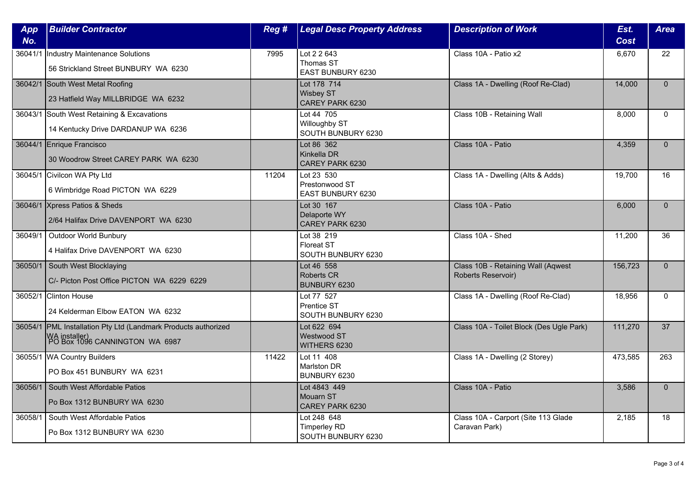| <b>App</b> | <b>Builder Contractor</b>                                                                                         | Reg # | <b>Legal Desc Property Address</b>                       | <b>Description of Work</b>                               | Est.        | <b>Area</b>  |
|------------|-------------------------------------------------------------------------------------------------------------------|-------|----------------------------------------------------------|----------------------------------------------------------|-------------|--------------|
| No.        |                                                                                                                   |       |                                                          |                                                          | <b>Cost</b> |              |
| 36041/1    | Industry Maintenance Solutions<br>56 Strickland Street BUNBURY WA 6230                                            | 7995  | Lot 2 2 643<br>Thomas ST<br>EAST BUNBURY 6230            | Class 10A - Patio x2                                     | 6,670       | 22           |
|            | 36042/1 South West Metal Roofing<br>23 Hatfield Way MILLBRIDGE WA 6232                                            |       | Lot 178 714<br><b>Wisbey ST</b><br>CAREY PARK 6230       | Class 1A - Dwelling (Roof Re-Clad)                       | 14,000      | $\mathbf{0}$ |
|            | 36043/1 South West Retaining & Excavations<br>14 Kentucky Drive DARDANUP WA 6236                                  |       | Lot 44 705<br>Willoughby ST<br>SOUTH BUNBURY 6230        | Class 10B - Retaining Wall                               | 8,000       | $\mathbf{0}$ |
|            | 36044/1 Enrique Francisco<br>30 Woodrow Street CAREY PARK WA 6230                                                 |       | Lot 86 362<br>Kinkella DR<br>CAREY PARK 6230             | Class 10A - Patio                                        | 4,359       | $\Omega$     |
|            | 36045/1 Civilcon WA Pty Ltd<br>6 Wimbridge Road PICTON WA 6229                                                    | 11204 | Lot 23 530<br>Prestonwood ST<br>EAST BUNBURY 6230        | Class 1A - Dwelling (Alts & Adds)                        | 19,700      | 16           |
|            | 36046/1 Xpress Patios & Sheds<br>2/64 Halifax Drive DAVENPORT WA 6230                                             |       | Lot 30 167<br>Delaporte WY<br>CAREY PARK 6230            | Class 10A - Patio                                        | 6,000       | $\Omega$     |
| 36049/1    | Outdoor World Bunbury<br>4 Halifax Drive DAVENPORT WA 6230                                                        |       | Lot 38 219<br><b>Floreat ST</b><br>SOUTH BUNBURY 6230    | Class 10A - Shed                                         | 11,200      | 36           |
| 36050/1    | South West Blocklaying<br>C/- Picton Post Office PICTON WA 6229 6229                                              |       | Lot 46 558<br><b>Roberts CR</b><br>BUNBURY 6230          | Class 10B - Retaining Wall (Aqwest<br>Roberts Reservoir) | 156,723     | $\mathbf{0}$ |
|            | 36052/1 Clinton House<br>24 Kelderman Elbow EATON WA 6232                                                         |       | Lot 77 527<br>Prentice ST<br>SOUTH BUNBURY 6230          | Class 1A - Dwelling (Roof Re-Clad)                       | 18,956      | $\Omega$     |
|            | 36054/1 PML Installation Pty Ltd (Landmark Products authorized<br>WA installer)<br>PO Box 1096 CANNINGTON WA 6987 |       | Lot 622 694<br><b>Westwood ST</b><br>WITHERS 6230        | Class 10A - Toilet Block (Des Ugle Park)                 | 111,270     | 37           |
|            | 36055/1 WA Country Builders<br>PO Box 451 BUNBURY WA 6231                                                         | 11422 | Lot 11 408<br><b>Marlston DR</b><br>BUNBURY 6230         | Class 1A - Dwelling (2 Storey)                           | 473,585     | 263          |
| 36056/1    | South West Affordable Patios<br>Po Box 1312 BUNBURY WA 6230                                                       |       | Lot 4843 449<br>Mouarn ST<br>CAREY PARK 6230             | Class 10A - Patio                                        | 3,586       | $\Omega$     |
| 36058/1    | South West Affordable Patios<br>Po Box 1312 BUNBURY WA 6230                                                       |       | Lot 248 648<br><b>Timperley RD</b><br>SOUTH BUNBURY 6230 | Class 10A - Carport (Site 113 Glade<br>Caravan Park)     | 2,185       | 18           |